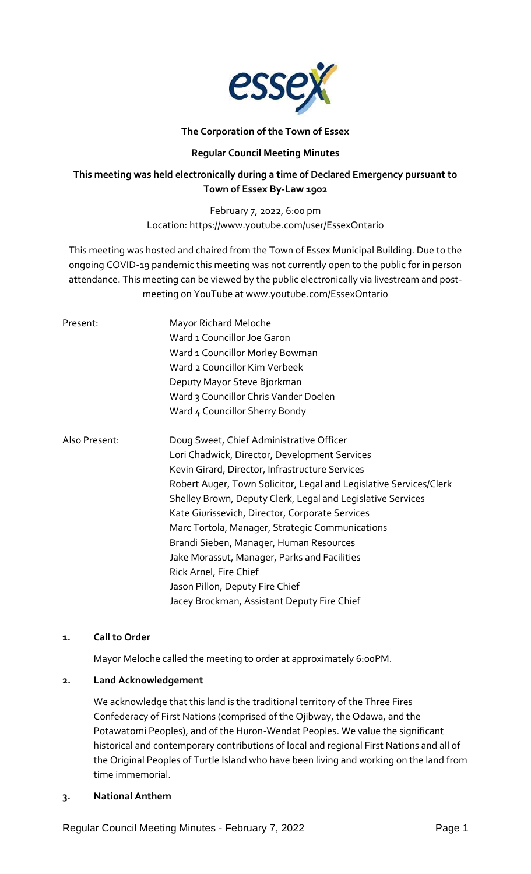

# **The Corporation of the Town of Essex**

# **Regular Council Meeting Minutes**

# **This meeting was held electronically during a time of Declared Emergency pursuant to Town of Essex By-Law 1902**

February 7, 2022, 6:00 pm Location: https://www.youtube.com/user/EssexOntario

This meeting was hosted and chaired from the Town of Essex Municipal Building. Due to the ongoing COVID-19 pandemic this meeting was not currently open to the public for in person attendance. This meeting can be viewed by the public electronically via livestream and postmeeting on YouTube at www.youtube.com/EssexOntario

| Present:      | Mayor Richard Meloche                                              |
|---------------|--------------------------------------------------------------------|
|               | Ward 1 Councillor Joe Garon                                        |
|               | Ward 1 Councillor Morley Bowman                                    |
|               | Ward 2 Councillor Kim Verbeek                                      |
|               | Deputy Mayor Steve Bjorkman                                        |
|               | Ward 3 Councillor Chris Vander Doelen                              |
|               | Ward 4 Councillor Sherry Bondy                                     |
| Also Present: | Doug Sweet, Chief Administrative Officer                           |
|               | Lori Chadwick, Director, Development Services                      |
|               | Kevin Girard, Director, Infrastructure Services                    |
|               | Robert Auger, Town Solicitor, Legal and Legislative Services/Clerk |
|               | Shelley Brown, Deputy Clerk, Legal and Legislative Services        |
|               | Kate Giurissevich, Director, Corporate Services                    |
|               | Marc Tortola, Manager, Strategic Communications                    |
|               | Brandi Sieben, Manager, Human Resources                            |
|               | Jake Morassut, Manager, Parks and Facilities                       |
|               | Rick Arnel, Fire Chief                                             |
|               | Jason Pillon, Deputy Fire Chief                                    |
|               | Jacey Brockman, Assistant Deputy Fire Chief                        |

# **1. Call to Order**

Mayor Meloche called the meeting to order at approximately 6:00PM.

# **2. Land Acknowledgement**

We acknowledge that this land is the traditional territory of the Three Fires Confederacy of First Nations (comprised of the Ojibway, the Odawa, and the Potawatomi Peoples), and of the Huron-Wendat Peoples. We value the significant historical and contemporary contributions of local and regional First Nations and all of the Original Peoples of Turtle Island who have been living and working on the land from time immemorial.

# **3. National Anthem**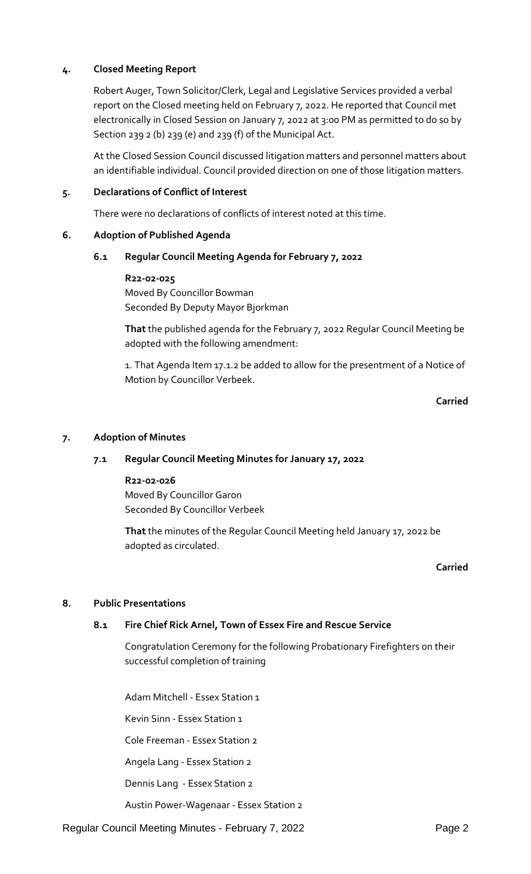# **4. Closed Meeting Report**

Robert Auger, Town Solicitor/Clerk, Legal and Legislative Services provided a verbal report on the Closed meeting held on February 7, 2022. He reported that Council met electronically in Closed Session on January 7, 2022 at 3:00 PM as permitted to do so by Section 239 2 (b) 239 (e) and 239 (f) of the Municipal Act.

At the Closed Session Council discussed litigation matters and personnel matters about an identifiable individual. Council provided direction on one of those litigation matters.

## **5. Declarations of Conflict of Interest**

There were no declarations of conflicts of interest noted at this time.

## **6. Adoption of Published Agenda**

## **6.1 Regular Council Meeting Agenda for February 7, 2022**

**R22-02-025** Moved By Councillor Bowman Seconded By Deputy Mayor Bjorkman

**That** the published agenda for the February 7, 2022 Regular Council Meeting be adopted with the following amendment:

1. That Agenda Item 17.1.2 be added to allow for the presentment of a Notice of Motion by Councillor Verbeek.

# **Carried**

## **7. Adoption of Minutes**

# **7.1 Regular Council Meeting Minutes for January 17, 2022**

## **R22-02-026** Moved By Councillor Garon

Seconded By Councillor Verbeek

**That** the minutes of the Regular Council Meeting held January 17, 2022 be adopted as circulated.

# **Carried**

# **8. Public Presentations**

# **8.1 Fire Chief Rick Arnel, Town of Essex Fire and Rescue Service**

Congratulation Ceremony for the following Probationary Firefighters on their successful completion of training

Adam Mitchell - Essex Station 1

Kevin Sinn - Essex Station 1

Cole Freeman - Essex Station 2

Angela Lang - Essex Station 2

Dennis Lang - Essex Station 2

Austin Power-Wagenaar - Essex Station 2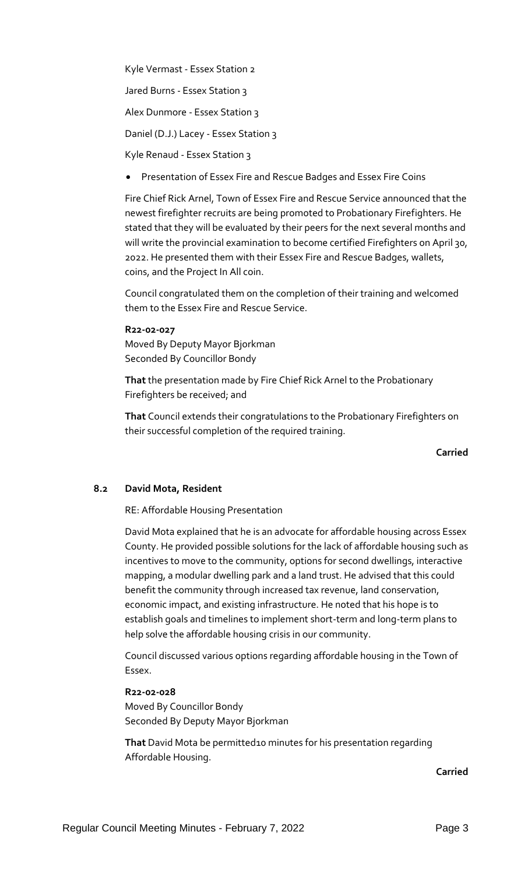Kyle Vermast - Essex Station 2

Jared Burns - Essex Station 3

Alex Dunmore - Essex Station 3

Daniel (D.J.) Lacey - Essex Station 3

Kyle Renaud - Essex Station 3

Presentation of Essex Fire and Rescue Badges and Essex Fire Coins

Fire Chief Rick Arnel, Town of Essex Fire and Rescue Service announced that the newest firefighter recruits are being promoted to Probationary Firefighters. He stated that they will be evaluated by their peers for the next several months and will write the provincial examination to become certified Firefighters on April 30, 2022. He presented them with their Essex Fire and Rescue Badges, wallets, coins, and the Project In All coin.

Council congratulated them on the completion of their training and welcomed them to the Essex Fire and Rescue Service.

**R22-02-027** Moved By Deputy Mayor Bjorkman Seconded By Councillor Bondy

**That** the presentation made by Fire Chief Rick Arnel to the Probationary Firefighters be received; and

**That** Council extends their congratulations to the Probationary Firefighters on their successful completion of the required training.

**Carried**

### **8.2 David Mota, Resident**

RE: Affordable Housing Presentation

David Mota explained that he is an advocate for affordable housing across Essex County. He provided possible solutions for the lack of affordable housing such as incentives to move to the community, options for second dwellings, interactive mapping, a modular dwelling park and a land trust. He advised that this could benefit the community through increased tax revenue, land conservation, economic impact, and existing infrastructure. He noted that his hope is to establish goals and timelines to implement short-term and long-term plans to help solve the affordable housing crisis in our community.

Council discussed various options regarding affordable housing in the Town of Essex.

**R22-02-028** Moved By Councillor Bondy Seconded By Deputy Mayor Bjorkman

**That** David Mota be permitted10 minutes for his presentation regarding Affordable Housing.

**Carried**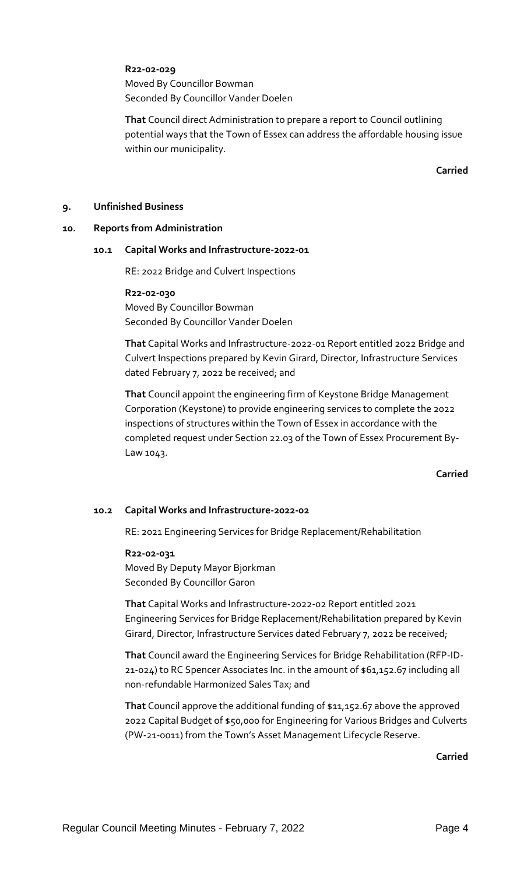## **R22-02-029**

Moved By Councillor Bowman Seconded By Councillor Vander Doelen

**That** Council direct Administration to prepare a report to Council outlining potential ways that the Town of Essex can address the affordable housing issue within our municipality.

**Carried**

## **9. Unfinished Business**

### **10. Reports from Administration**

### **10.1 Capital Works and Infrastructure-2022-01**

RE: 2022 Bridge and Culvert Inspections

**R22-02-030**

Moved By Councillor Bowman Seconded By Councillor Vander Doelen

**That** Capital Works and Infrastructure-2022-01 Report entitled 2022 Bridge and Culvert Inspections prepared by Kevin Girard, Director, Infrastructure Services dated February 7, 2022 be received; and

**That** Council appoint the engineering firm of Keystone Bridge Management Corporation (Keystone) to provide engineering services to complete the 2022 inspections of structures within the Town of Essex in accordance with the completed request under Section 22.03 of the Town of Essex Procurement By-Law 1043.

**Carried**

# **10.2 Capital Works and Infrastructure-2022-02**

RE: 2021 Engineering Services for Bridge Replacement/Rehabilitation

### **R22-02-031**

Moved By Deputy Mayor Bjorkman Seconded By Councillor Garon

**That** Capital Works and Infrastructure-2022-02 Report entitled 2021 Engineering Services for Bridge Replacement/Rehabilitation prepared by Kevin Girard, Director, Infrastructure Services dated February 7, 2022 be received;

**That** Council award the Engineering Services for Bridge Rehabilitation (RFP-ID-21-024) to RC Spencer Associates Inc. in the amount of \$61,152.67 including all non-refundable Harmonized Sales Tax; and

**That** Council approve the additional funding of \$11,152.67 above the approved 2022 Capital Budget of \$50,000 for Engineering for Various Bridges and Culverts (PW-21-0011) from the Town's Asset Management Lifecycle Reserve.

**Carried**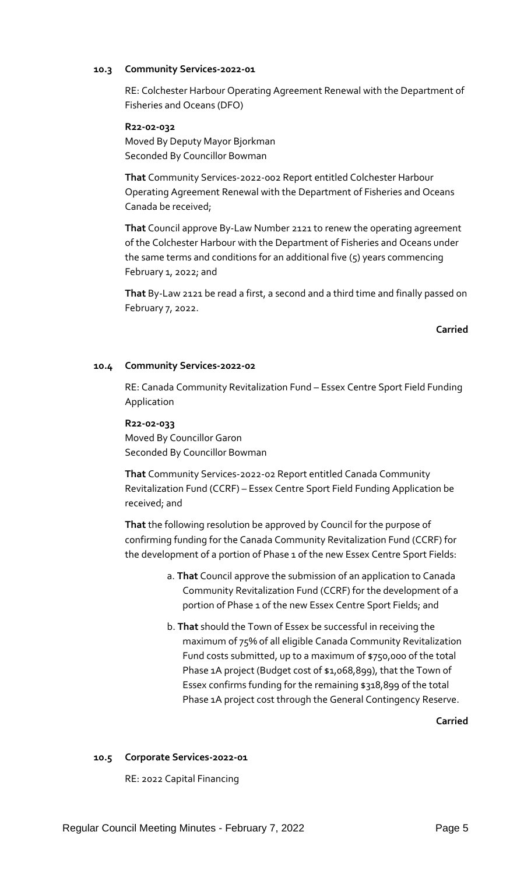## **10.3 Community Services-2022-01**

RE: Colchester Harbour Operating Agreement Renewal with the Department of Fisheries and Oceans (DFO)

## **R22-02-032**

Moved By Deputy Mayor Bjorkman Seconded By Councillor Bowman

**That** Community Services-2022-002 Report entitled Colchester Harbour Operating Agreement Renewal with the Department of Fisheries and Oceans Canada be received;

**That** Council approve By-Law Number 2121 to renew the operating agreement of the Colchester Harbour with the Department of Fisheries and Oceans under the same terms and conditions for an additional five (5) years commencing February 1, 2022; and

**That** By-Law 2121 be read a first, a second and a third time and finally passed on February 7, 2022.

**Carried**

# **10.4 Community Services-2022-02**

RE: Canada Community Revitalization Fund – Essex Centre Sport Field Funding Application

## **R22-02-033**

Moved By Councillor Garon Seconded By Councillor Bowman

**That** Community Services-2022-02 Report entitled Canada Community Revitalization Fund (CCRF) – Essex Centre Sport Field Funding Application be received; and

**That** the following resolution be approved by Council for the purpose of confirming funding for the Canada Community Revitalization Fund (CCRF) for the development of a portion of Phase 1 of the new Essex Centre Sport Fields:

- a. **That** Council approve the submission of an application to Canada Community Revitalization Fund (CCRF) for the development of a portion of Phase 1 of the new Essex Centre Sport Fields; and
- b. **That** should the Town of Essex be successful in receiving the maximum of 75% of all eligible Canada Community Revitalization Fund costs submitted, up to a maximum of \$750,000 of the total Phase 1A project (Budget cost of \$1,068,899), that the Town of Essex confirms funding for the remaining \$318,899 of the total Phase 1A project cost through the General Contingency Reserve.

**Carried**

# **10.5 Corporate Services-2022-01**

RE: 2022 Capital Financing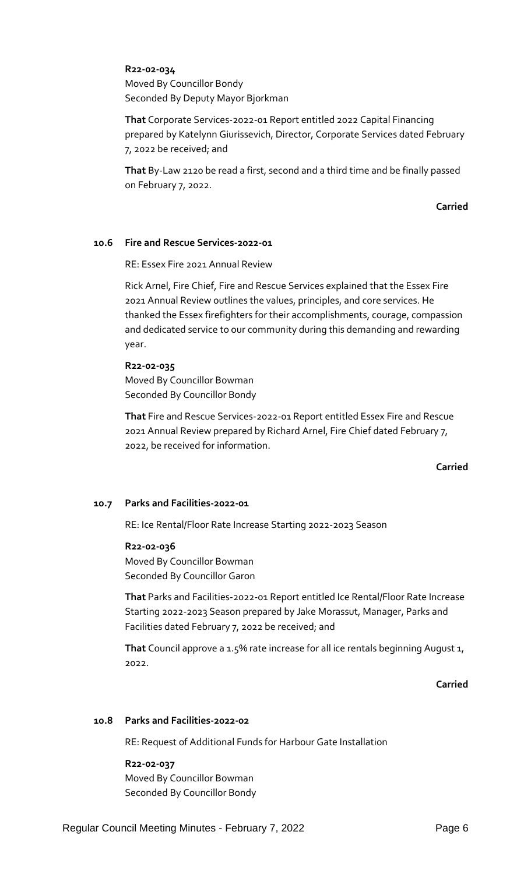## **R22-02-034**

Moved By Councillor Bondy Seconded By Deputy Mayor Bjorkman

**That** Corporate Services-2022-01 Report entitled 2022 Capital Financing prepared by Katelynn Giurissevich, Director, Corporate Services dated February 7, 2022 be received; and

**That** By-Law 2120 be read a first, second and a third time and be finally passed on February 7, 2022.

**Carried**

### **10.6 Fire and Rescue Services-2022-01**

RE: Essex Fire 2021 Annual Review

Rick Arnel, Fire Chief, Fire and Rescue Services explained that the Essex Fire 2021 Annual Review outlines the values, principles, and core services. He thanked the Essex firefighters for their accomplishments, courage, compassion and dedicated service to our community during this demanding and rewarding year.

### **R22-02-035**

Moved By Councillor Bowman Seconded By Councillor Bondy

**That** Fire and Rescue Services-2022-01 Report entitled Essex Fire and Rescue 2021 Annual Review prepared by Richard Arnel, Fire Chief dated February 7, 2022, be received for information.

### **Carried**

### **10.7 Parks and Facilities-2022-01**

RE: Ice Rental/Floor Rate Increase Starting 2022-2023 Season

### **R22-02-036**

Moved By Councillor Bowman Seconded By Councillor Garon

**That** Parks and Facilities-2022-01 Report entitled Ice Rental/Floor Rate Increase Starting 2022-2023 Season prepared by Jake Morassut, Manager, Parks and Facilities dated February 7, 2022 be received; and

**That** Council approve a 1.5% rate increase for all ice rentals beginning August 1, 2022.

**Carried**

# **10.8 Parks and Facilities-2022-02**

RE: Request of Additional Funds for Harbour Gate Installation

#### **R22-02-037**

Moved By Councillor Bowman Seconded By Councillor Bondy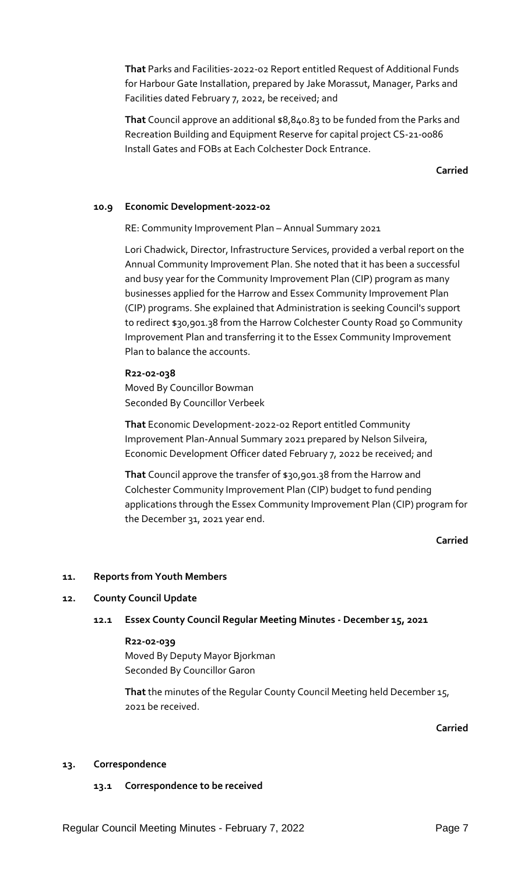**That** Parks and Facilities-2022-02 Report entitled Request of Additional Funds for Harbour Gate Installation, prepared by Jake Morassut, Manager, Parks and Facilities dated February 7, 2022, be received; and

**That** Council approve an additional \$8,840.83 to be funded from the Parks and Recreation Building and Equipment Reserve for capital project CS-21-0086 Install Gates and FOBs at Each Colchester Dock Entrance.

**Carried**

# **10.9 Economic Development-2022-02**

RE: Community Improvement Plan – Annual Summary 2021

Lori Chadwick, Director, Infrastructure Services, provided a verbal report on the Annual Community Improvement Plan. She noted that it has been a successful and busy year for the Community Improvement Plan (CIP) program as many businesses applied for the Harrow and Essex Community Improvement Plan (CIP) programs. She explained that Administration is seeking Council's support to redirect \$30,901.38 from the Harrow Colchester County Road 50 Community Improvement Plan and transferring it to the Essex Community Improvement Plan to balance the accounts.

## **R22-02-038**

Moved By Councillor Bowman Seconded By Councillor Verbeek

**That** Economic Development-2022-02 Report entitled Community Improvement Plan-Annual Summary 2021 prepared by Nelson Silveira, Economic Development Officer dated February 7, 2022 be received; and

**That** Council approve the transfer of \$30,901.38 from the Harrow and Colchester Community Improvement Plan (CIP) budget to fund pending applications through the Essex Community Improvement Plan (CIP) program for the December 31, 2021 year end.

## **Carried**

### **11. Reports from Youth Members**

### **12. County Council Update**

### **12.1 Essex County Council Regular Meeting Minutes - December 15, 2021**

# **R22-02-039**

Moved By Deputy Mayor Bjorkman Seconded By Councillor Garon

**That** the minutes of the Regular County Council Meeting held December 15, 2021 be received.

**Carried**

### **13. Correspondence**

### **13.1 Correspondence to be received**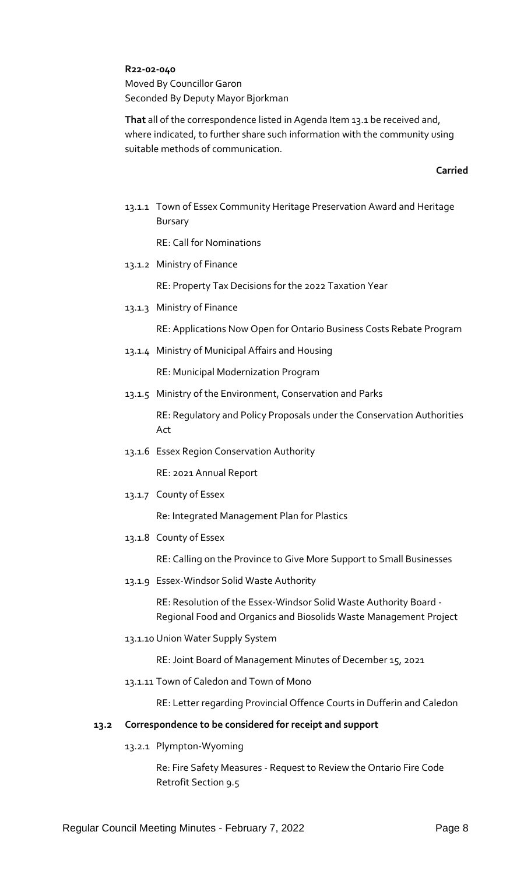**R22-02-040**

Moved By Councillor Garon Seconded By Deputy Mayor Bjorkman

**That** all of the correspondence listed in Agenda Item 13.1 be received and, where indicated, to further share such information with the community using suitable methods of communication.

### **Carried**

13.1.1 Town of Essex Community Heritage Preservation Award and Heritage Bursary

RE: Call for Nominations

13.1.2 Ministry of Finance

RE: Property Tax Decisions for the 2022 Taxation Year

13.1.3 Ministry of Finance

RE: Applications Now Open for Ontario Business Costs Rebate Program

13.1.4 Ministry of Municipal Affairs and Housing

RE: Municipal Modernization Program

13.1.5 Ministry of the Environment, Conservation and Parks

RE: Regulatory and Policy Proposals under the Conservation Authorities Act

13.1.6 Essex Region Conservation Authority

RE: 2021 Annual Report

13.1.7 County of Essex

Re: Integrated Management Plan for Plastics

13.1.8 County of Essex

RE: Calling on the Province to Give More Support to Small Businesses

13.1.9 Essex-Windsor Solid Waste Authority

RE: Resolution of the Essex-Windsor Solid Waste Authority Board - Regional Food and Organics and Biosolids Waste Management Project

13.1.10 Union Water Supply System

RE: Joint Board of Management Minutes of December 15, 2021

13.1.11 Town of Caledon and Town of Mono

RE: Letter regarding Provincial Offence Courts in Dufferin and Caledon

### **13.2 Correspondence to be considered for receipt and support**

13.2.1 Plympton-Wyoming

Re: Fire Safety Measures - Request to Review the Ontario Fire Code Retrofit Section 9.5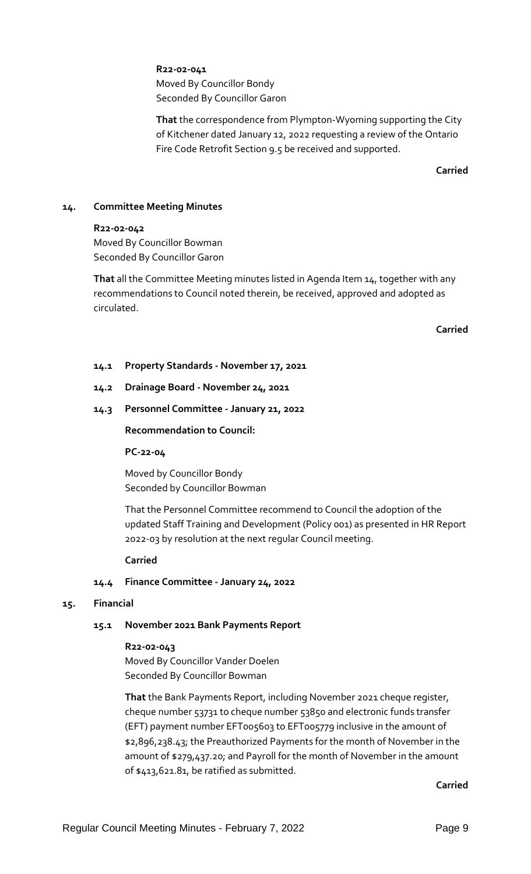**R22-02-041** Moved By Councillor Bondy Seconded By Councillor Garon

**That** the correspondence from Plympton-Wyoming supporting the City of Kitchener dated January 12, 2022 requesting a review of the Ontario Fire Code Retrofit Section 9.5 be received and supported.

**Carried**

# **14. Committee Meeting Minutes**

### **R22-02-042**

Moved By Councillor Bowman Seconded By Councillor Garon

**That** all the Committee Meeting minutes listed in Agenda Item 14, together with any recommendations to Council noted therein, be received, approved and adopted as circulated.

**Carried**

**14.1 Property Standards - November 17, 2021**

## **14.2 Drainage Board - November 24, 2021**

## **14.3 Personnel Committee - January 21, 2022**

### **Recommendation to Council:**

### **PC-22-04**

Moved by Councillor Bondy Seconded by Councillor Bowman

That the Personnel Committee recommend to Council the adoption of the updated Staff Training and Development (Policy 001) as presented in HR Report 2022-03 by resolution at the next regular Council meeting.

### **Carried**

## **14.4 Finance Committee - January 24, 2022**

# **15. Financial**

# **15.1 November 2021 Bank Payments Report**

### **R22-02-043**

Moved By Councillor Vander Doelen Seconded By Councillor Bowman

**That** the Bank Payments Report, including November 2021 cheque register, cheque number 53731 to cheque number 53850 and electronic funds transfer (EFT) payment number EFT005603 to EFT005779 inclusive in the amount of \$2,896,238.43; the Preauthorized Payments for the month of November in the amount of \$279,437.20; and Payroll for the month of November in the amount of \$413,621.81, be ratified as submitted.

**Carried**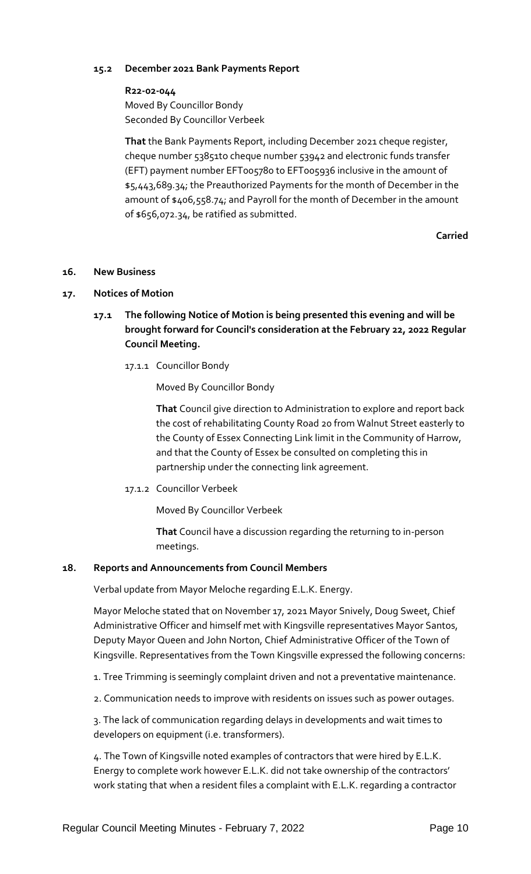# **15.2 December 2021 Bank Payments Report**

### **R22-02-044**

Moved By Councillor Bondy Seconded By Councillor Verbeek

**That** the Bank Payments Report, including December 2021 cheque register, cheque number 53851to cheque number 53942 and electronic funds transfer (EFT) payment number EFT005780 to EFT005936 inclusive in the amount of \$5,443,689.34; the Preauthorized Payments for the month of December in the amount of \$406,558.74; and Payroll for the month of December in the amount of \$656,072.34, be ratified as submitted.

**Carried**

## **16. New Business**

### **17. Notices of Motion**

- **17.1 The following Notice of Motion is being presented this evening and will be brought forward for Council's consideration at the February 22, 2022 Regular Council Meeting.**
	- 17.1.1 Councillor Bondy

Moved By Councillor Bondy

**That** Council give direction to Administration to explore and report back the cost of rehabilitating County Road 20 from Walnut Street easterly to the County of Essex Connecting Link limit in the Community of Harrow, and that the County of Essex be consulted on completing this in partnership under the connecting link agreement.

17.1.2 Councillor Verbeek

Moved By Councillor Verbeek

**That** Council have a discussion regarding the returning to in-person meetings.

### **18. Reports and Announcements from Council Members**

Verbal update from Mayor Meloche regarding E.L.K. Energy.

Mayor Meloche stated that on November 17, 2021 Mayor Snively, Doug Sweet, Chief Administrative Officer and himself met with Kingsville representatives Mayor Santos, Deputy Mayor Queen and John Norton, Chief Administrative Officer of the Town of Kingsville. Representatives from the Town Kingsville expressed the following concerns:

- 1. Tree Trimming is seemingly complaint driven and not a preventative maintenance.
- 2. Communication needs to improve with residents on issues such as power outages.

3. The lack of communication regarding delays in developments and wait times to developers on equipment (i.e. transformers).

4. The Town of Kingsville noted examples of contractors that were hired by E.L.K. Energy to complete work however E.L.K. did not take ownership of the contractors' work stating that when a resident files a complaint with E.L.K. regarding a contractor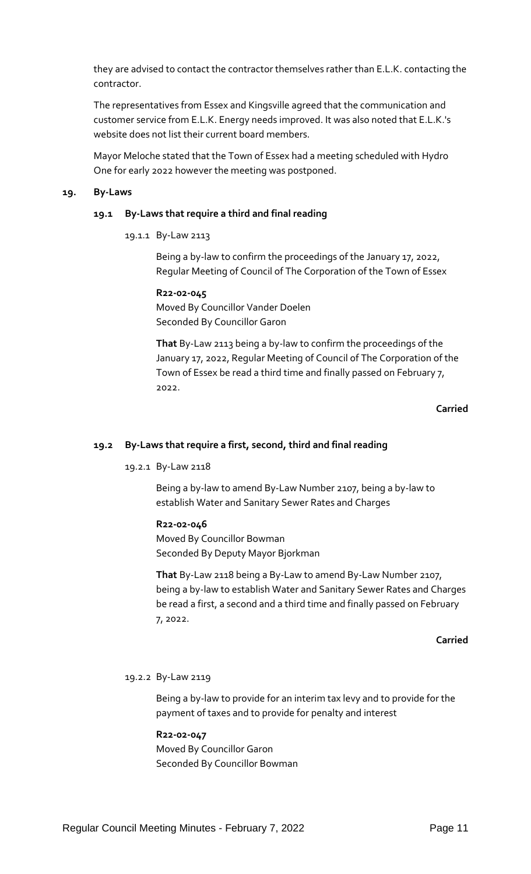they are advised to contact the contractor themselves rather than E.L.K. contacting the contractor.

The representatives from Essex and Kingsville agreed that the communication and customer service from E.L.K. Energy needs improved. It was also noted that E.L.K.'s website does not list their current board members.

Mayor Meloche stated that the Town of Essex had a meeting scheduled with Hydro One for early 2022 however the meeting was postponed.

### **19. By-Laws**

### **19.1 By-Laws that require a third and final reading**

19.1.1 By-Law 2113

Being a by-law to confirm the proceedings of the January 17, 2022, Regular Meeting of Council of The Corporation of the Town of Essex

**R22-02-045** Moved By Councillor Vander Doelen Seconded By Councillor Garon

**That** By-Law 2113 being a by-law to confirm the proceedings of the January 17, 2022, Regular Meeting of Council of The Corporation of the Town of Essex be read a third time and finally passed on February 7, 2022.

## **Carried**

### **19.2 By-Laws that require a first, second, third and final reading**

19.2.1 By-Law 2118

Being a by-law to amend By-Law Number 2107, being a by-law to establish Water and Sanitary Sewer Rates and Charges

### **R22-02-046**

Moved By Councillor Bowman Seconded By Deputy Mayor Bjorkman

**That** By-Law 2118 being a By-Law to amend By-Law Number 2107, being a by-law to establish Water and Sanitary Sewer Rates and Charges be read a first, a second and a third time and finally passed on February 7, 2022.

### **Carried**

## 19.2.2 By-Law 2119

Being a by-law to provide for an interim tax levy and to provide for the payment of taxes and to provide for penalty and interest

### **R22-02-047**

Moved By Councillor Garon Seconded By Councillor Bowman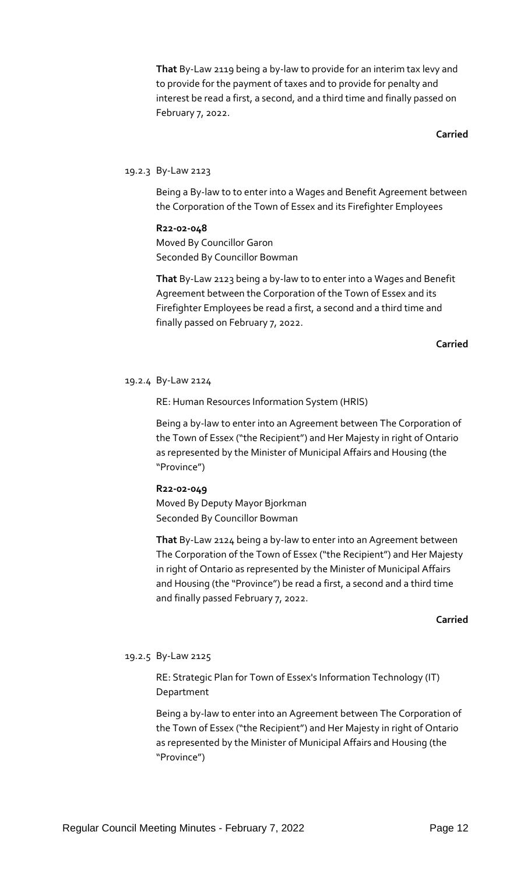**That** By-Law 2119 being a by-law to provide for an interim tax levy and to provide for the payment of taxes and to provide for penalty and interest be read a first, a second, and a third time and finally passed on February 7, 2022.

### **Carried**

## 19.2.3 By-Law 2123

Being a By-law to to enter into a Wages and Benefit Agreement between the Corporation of the Town of Essex and its Firefighter Employees

**R22-02-048** Moved By Councillor Garon Seconded By Councillor Bowman

**That** By-Law 2123 being a by-law to to enter into a Wages and Benefit Agreement between the Corporation of the Town of Essex and its Firefighter Employees be read a first, a second and a third time and finally passed on February 7, 2022.

**Carried**

### 19.2.4 By-Law 2124

RE: Human Resources Information System (HRIS)

Being a by-law to enter into an Agreement between The Corporation of the Town of Essex ("the Recipient") and Her Majesty in right of Ontario as represented by the Minister of Municipal Affairs and Housing (the "Province")

**R22-02-049** Moved By Deputy Mayor Bjorkman Seconded By Councillor Bowman

**That** By-Law 2124 being a by-law to enter into an Agreement between The Corporation of the Town of Essex ("the Recipient") and Her Majesty in right of Ontario as represented by the Minister of Municipal Affairs and Housing (the "Province") be read a first, a second and a third time and finally passed February 7, 2022.

### **Carried**

### 19.2.5 By-Law 2125

RE: Strategic Plan for Town of Essex's Information Technology (IT) Department

Being a by-law to enter into an Agreement between The Corporation of the Town of Essex ("the Recipient") and Her Majesty in right of Ontario as represented by the Minister of Municipal Affairs and Housing (the "Province")